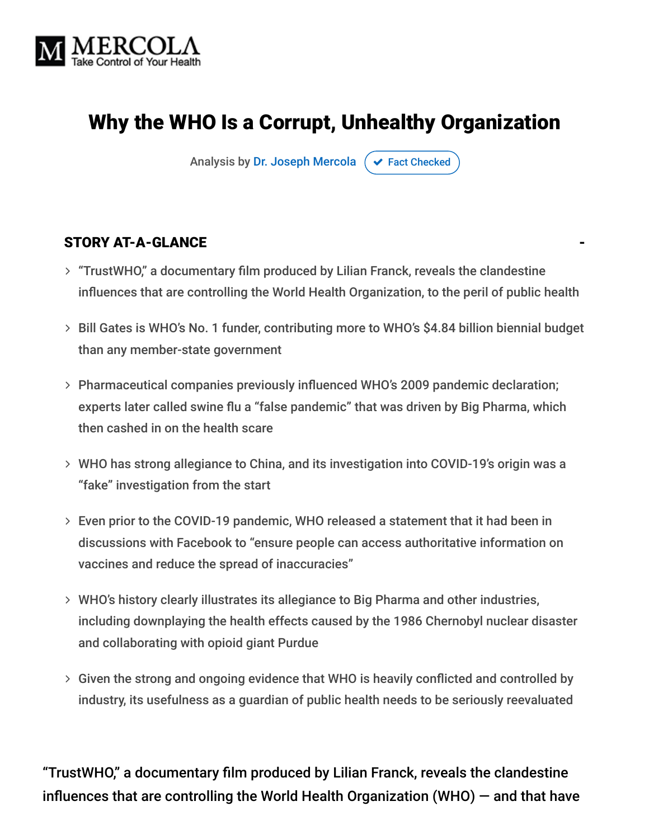

# Why the WHO Is a Corrupt, Unhealthy Organization

Analysis by [Dr. Joseph Mercola](https://www.mercola.com/forms/background.htm)  $\sigma$  [Fact Checked](javascript:void(0))

#### STORY AT-A-GLANCE

- "TrustWHO," a documentary film produced by Lilian Franck, reveals the clandestine influences that are controlling the World Health Organization, to the peril of public health
- > Bill Gates is WHO's No. 1 funder, contributing more to WHO's \$4.84 billion biennial budget than any member-state government
- Pharmaceutical companies previously influenced WHO's 2009 pandemic declaration; experts later called swine flu a "false pandemic" that was driven by Big Pharma, which then cashed in on the health scare
- WHO has strong allegiance to China, and its investigation into COVID-19's origin was a "fake" investigation from the start
- Even prior to the COVID-19 pandemic, WHO released a statement that it had been in discussions with Facebook to "ensure people can access authoritative information on vaccines and reduce the spread of inaccuracies"
- WHO's history clearly illustrates its allegiance to Big Pharma and other industries, including downplaying the health effects caused by the 1986 Chernobyl nuclear disaster and collaborating with opioid giant Purdue
- Given the strong and ongoing evidence that WHO is heavily conflicted and controlled by industry, its usefulness as a guardian of public health needs to be seriously reevaluated

"TrustWHO," a documentary film produced by Lilian Franck, reveals the clandestine influences that are controlling the World Health Organization (WHO) — and that have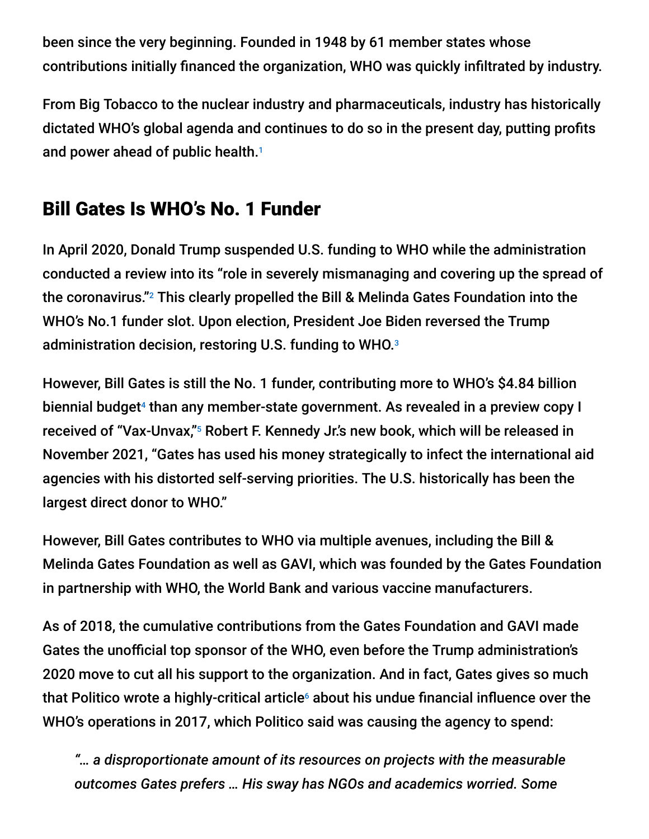been since the very beginning. Founded in 1948 by 61 member states whose contributions initially financed the organization, WHO was quickly infiltrated by industry.

From Big Tobacco to the nuclear industry and pharmaceuticals, industry has historically dictated WHO's global agenda and continues to do so in the present day, putting profits and power ahead of public health. 1

# Bill Gates Is WHO's No. 1 Funder

In April 2020, Donald Trump suspended U.S. funding to WHO while the administration conducted a review into its "role in severely mismanaging and covering up the spread of the coronavirus." $^{\rm 2}$  This clearly propelled the Bill & Melinda Gates Foundation into the WHO's No.1 funder slot. Upon election, President Joe Biden reversed the Trump administration decision, restoring U.S. funding to WHO. 3

However, Bill Gates is still the No. 1 funder, contributing more to WHO's \$4.84 billion biennial budget<sup>4</sup> than any member-state government. As revealed in a preview copy I received of "Vax-Unvax,"<sup>5</sup> Robert F. Kennedy Jr.'s new book, which will be released in November 2021, "Gates has used his money strategically to infect the international aid agencies with his distorted self-serving priorities. The U.S. historically has been the largest direct donor to WHO."

However, Bill Gates contributes to WHO via multiple avenues, including the Bill & Melinda Gates Foundation as well as GAVI, which was founded by the Gates Foundation in partnership with WHO, the World Bank and various vaccine manufacturers.

As of 2018, the cumulative contributions from the Gates Foundation and GAVI made Gates the unofficial top sponsor of the WHO, even before the Trump administration's 2020 move to cut all his support to the organization. And in fact, Gates gives so much that Politico wrote a highly-critical article $\circ$  about his undue financial influence over the WHO's operations in 2017, which Politico said was causing the agency to spend:

*"… a disproportionate amount of its resources on projects with the measurable outcomes Gates prefers … His sway has NGOs and academics worried. Some*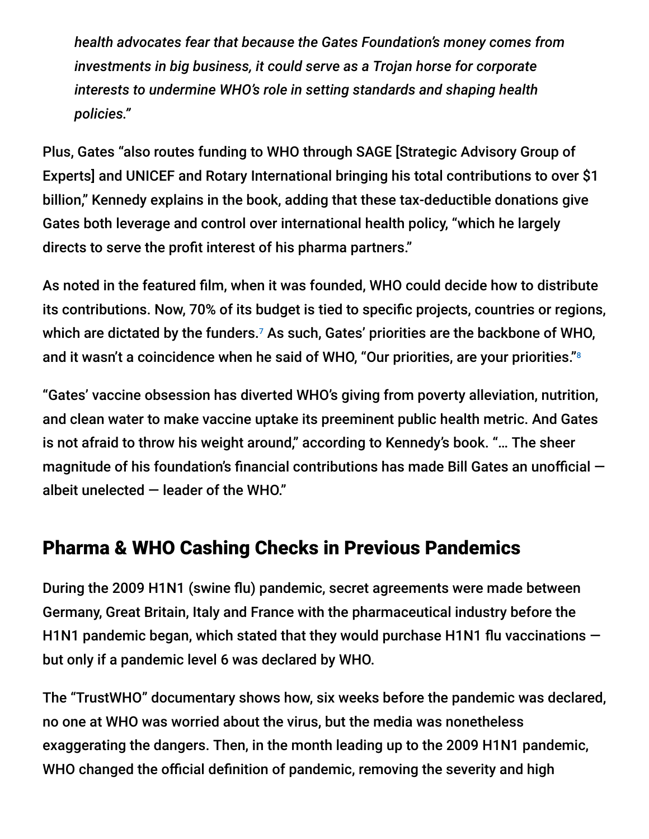*health advocates fear that because the Gates Foundation's money comes from investments in big business, it could serve as a Trojan horse for corporate interests to undermine WHO's role in setting standards and shaping health policies."*

Plus, Gates "also routes funding to WHO through SAGE [Strategic Advisory Group of Experts] and UNICEF and Rotary International bringing his total contributions to over \$1 billion," Kennedy explains in the book, adding that these tax-deductible donations give Gates both leverage and control over international health policy, "which he largely directs to serve the profit interest of his pharma partners."

As noted in the featured film, when it was founded, WHO could decide how to distribute its contributions. Now, 70% of its budget is tied to specific projects, countries or regions, which are dictated by the funders.<sup>7</sup> As such, Gates' priorities are the backbone of WHO, and it wasn't a coincidence when he said of WHO, "Our priorities, are your priorities." 8

"Gates' vaccine obsession has diverted WHO's giving from poverty alleviation, nutrition, and clean water to make vaccine uptake its preeminent public health metric. And Gates is not afraid to throw his weight around," according to Kennedy's book. "… The sheer magnitude of his foundation's financial contributions has made Bill Gates an unofficial albeit unelected  $-$  leader of the WHO."

### Pharma & WHO Cashing Checks in Previous Pandemics

During the 2009 H1N1 (swine flu) pandemic, secret agreements were made between Germany, Great Britain, Italy and France with the pharmaceutical industry before the H1N1 pandemic began, which stated that they would purchase H1N1 flu vaccinations  $$ but only if a pandemic level 6 was declared by WHO.

The "TrustWHO" documentary shows how, six weeks before the pandemic was declared, no one at WHO was worried about the virus, but the media was nonetheless exaggerating the dangers. Then, in the month leading up to the 2009 H1N1 pandemic, WHO changed the official definition of pandemic, removing the severity and high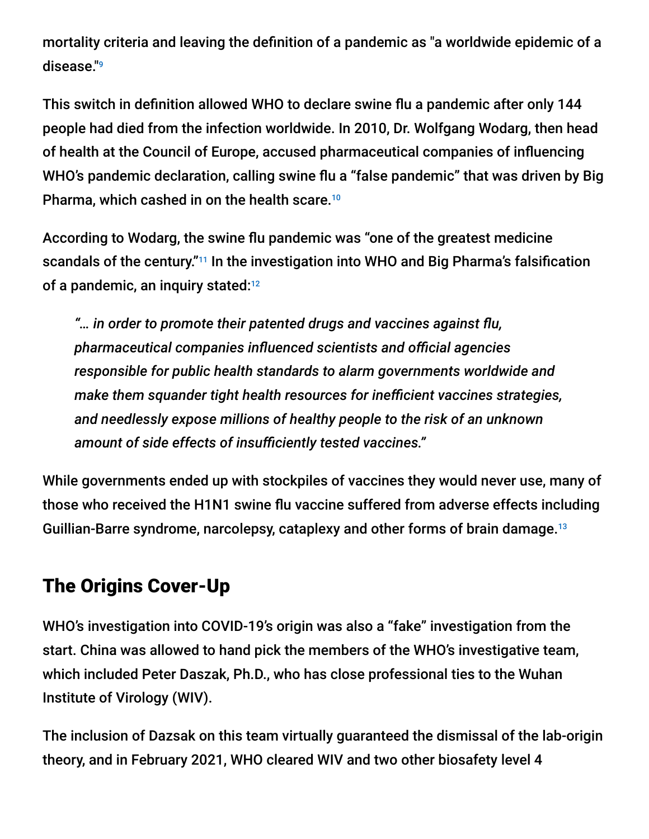mortality criteria and leaving the definition of a pandemic as "a worldwide epidemic of a disease." 9

This switch in definition allowed WHO to declare swine flu a pandemic after only 144 people had died from the infection worldwide. In 2010, Dr. Wolfgang Wodarg, then head of health at the Council of Europe, accused pharmaceutical companies of influencing WHO's pandemic declaration, calling swine flu a "false pandemic" that was driven by Big Pharma, which cashed in on the health scare. 10

According to Wodarg, the swine flu pandemic was "one of the greatest medicine scandals of the century."<sup>11</sup> In the investigation into WHO and Big Pharma's falsification of a pandemic, an inquiry stated:<sup>12</sup>

*"… in order to promote their patented drugs and vaccines against flu, pharmaceutical companies influenced scientists and official agencies responsible for public health standards to alarm governments worldwide and make them squander tight health resources for inefficient vaccines strategies, and needlessly expose millions of healthy people to the risk of an unknown amount of side effects of insufficiently tested vaccines."*

While governments ended up with stockpiles of vaccines they would never use, many of those who received the H1N1 swine flu vaccine suffered from adverse effects including Guillian-Barre syndrome, narcolepsy, cataplexy and other forms of brain damage.<sup>13</sup>

# The Origins Cover-Up

WHO's investigation into COVID-19's origin was also a "fake" investigation from the start. China was allowed to hand pick the members of the WHO's investigative team, which included Peter Daszak, Ph.D., who has close professional ties to the Wuhan Institute of Virology (WIV).

The inclusion of Dazsak on this team virtually guaranteed the dismissal of the lab-origin theory, and in February 2021, WHO cleared WIV and two other biosafety level 4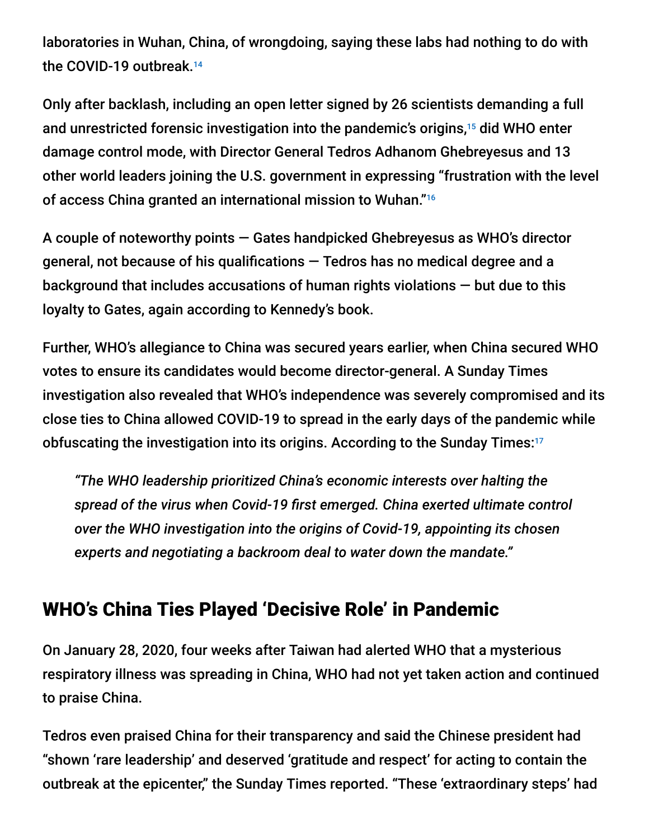laboratories in Wuhan, China, of wrongdoing, saying these labs had nothing to do with the COVID-19 outbreak. 14

Only after backlash, including an open letter signed by 26 scientists demanding a full and unrestricted forensic investigation into the pandemic's origins,<sup>15</sup> did WHO enter damage control mode, with Director General Tedros Adhanom Ghebreyesus and 13 other world leaders joining the U.S. government in expressing "frustration with the level of access China granted an international mission to Wuhan." 16

A couple of noteworthy points — Gates handpicked Ghebreyesus as WHO's director general, not because of his qualifications  $-$  Tedros has no medical degree and a background that includes accusations of human rights violations — but due to this loyalty to Gates, again according to Kennedy's book.

Further, WHO's allegiance to China was secured years earlier, when China secured WHO votes to ensure its candidates would become director-general. A Sunday Times investigation also revealed that WHO's independence was severely compromised and its close ties to China allowed COVID-19 to spread in the early days of the pandemic while obfuscating the investigation into its origins. According to the Sunday Times: 17

*"The WHO leadership prioritized China's economic interests over halting the spread of the virus when Covid-19 first emerged. China exerted ultimate control over the WHO investigation into the origins of Covid-19, appointing its chosen experts and negotiating a backroom deal to water down the mandate."*

### WHO's China Ties Played 'Decisive Role' in Pandemic

On January 28, 2020, four weeks after Taiwan had alerted WHO that a mysterious respiratory illness was spreading in China, WHO had not yet taken action and continued to praise China.

Tedros even praised China for their transparency and said the Chinese president had "shown 'rare leadership' and deserved 'gratitude and respect' for acting to contain the outbreak at the epicenter," the Sunday Times reported. "These 'extraordinary steps' had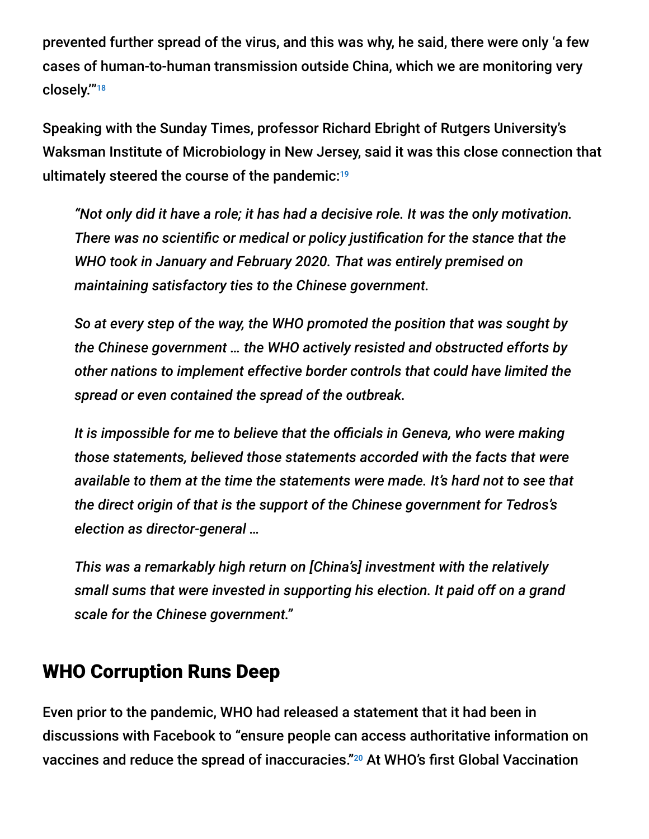prevented further spread of the virus, and this was why, he said, there were only 'a few cases of human-to-human transmission outside China, which we are monitoring very closely.'" 18

Speaking with the Sunday Times, professor Richard Ebright of Rutgers University's Waksman Institute of Microbiology in New Jersey, said it was this close connection that ultimately steered the course of the pandemic: 19

*"Not only did it have a role; it has had a decisive role. It was the only motivation. There was no scientific or medical or policy justification for the stance that the WHO took in January and February 2020. That was entirely premised on maintaining satisfactory ties to the Chinese government.*

*So at every step of the way, the WHO promoted the position that was sought by the Chinese government … the WHO actively resisted and obstructed efforts by other nations to implement effective border controls that could have limited the spread or even contained the spread of the outbreak.*

*It is impossible for me to believe that the officials in Geneva, who were making those statements, believed those statements accorded with the facts that were available to them at the time the statements were made. It's hard not to see that the direct origin of that is the support of the Chinese government for Tedros's election as director-general …*

*This was a remarkably high return on [China's] investment with the relatively small sums that were invested in supporting his election. It paid off on a grand scale for the Chinese government."*

#### WHO Corruption Runs Deep

Even prior to the pandemic, WHO had released a statement that it had been in discussions with Facebook to "ensure people can access authoritative information on vaccines and reduce the spread of inaccuracies."<sup>20</sup> At WHO's first Global Vaccination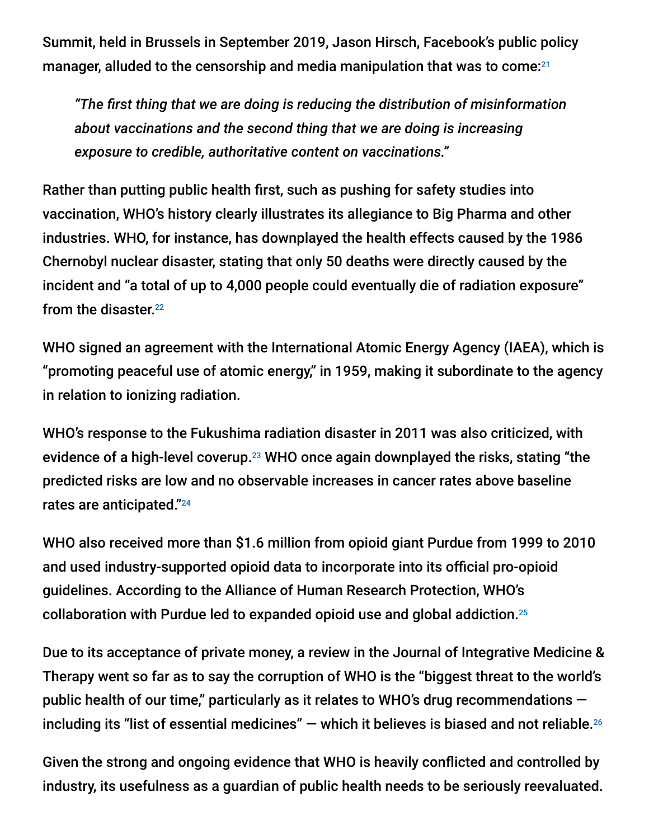Summit, held in Brussels in September 2019, Jason Hirsch, Facebook's public policy manager, alluded to the censorship and media manipulation that was to come: 21

*"The first thing that we are doing is reducing the distribution of misinformation about vaccinations and the second thing that we are doing is increasing exposure to credible, authoritative content on vaccinations."*

Rather than putting public health first, such as pushing for safety studies into vaccination, WHO's history clearly illustrates its allegiance to Big Pharma and other industries. WHO, for instance, has downplayed the health effects caused by the 1986 Chernobyl nuclear disaster, stating that only 50 deaths were directly caused by the incident and "a total of up to 4,000 people could eventually die of radiation exposure" from the disaster. 22

WHO signed an agreement with the International Atomic Energy Agency (IAEA), which is "promoting peaceful use of atomic energy," in 1959, making it subordinate to the agency in relation to ionizing radiation.

WHO's response to the Fukushima radiation disaster in 2011 was also criticized, with evidence of a high-level coverup. $^{23}$  WHO once again downplayed the risks, stating "the predicted risks are low and no observable increases in cancer rates above baseline rates are anticipated." 24

WHO also received more than \$1.6 million from opioid giant Purdue from 1999 to 2010 and used industry-supported opioid data to incorporate into its official pro-opioid guidelines. According to the Alliance of Human Research Protection, WHO's collaboration with Purdue led to expanded opioid use and global addiction. 25

Due to its acceptance of private money, a review in the Journal of Integrative Medicine & Therapy went so far as to say the corruption of WHO is the "biggest threat to the world's public health of our time," particularly as it relates to WHO's drug recommendations  $$ including its "list of essential medicines"  $-$  which it believes is biased and not reliable. $^{26}$ 

Given the strong and ongoing evidence that WHO is heavily conflicted and controlled by industry, its usefulness as a guardian of public health needs to be seriously reevaluated.